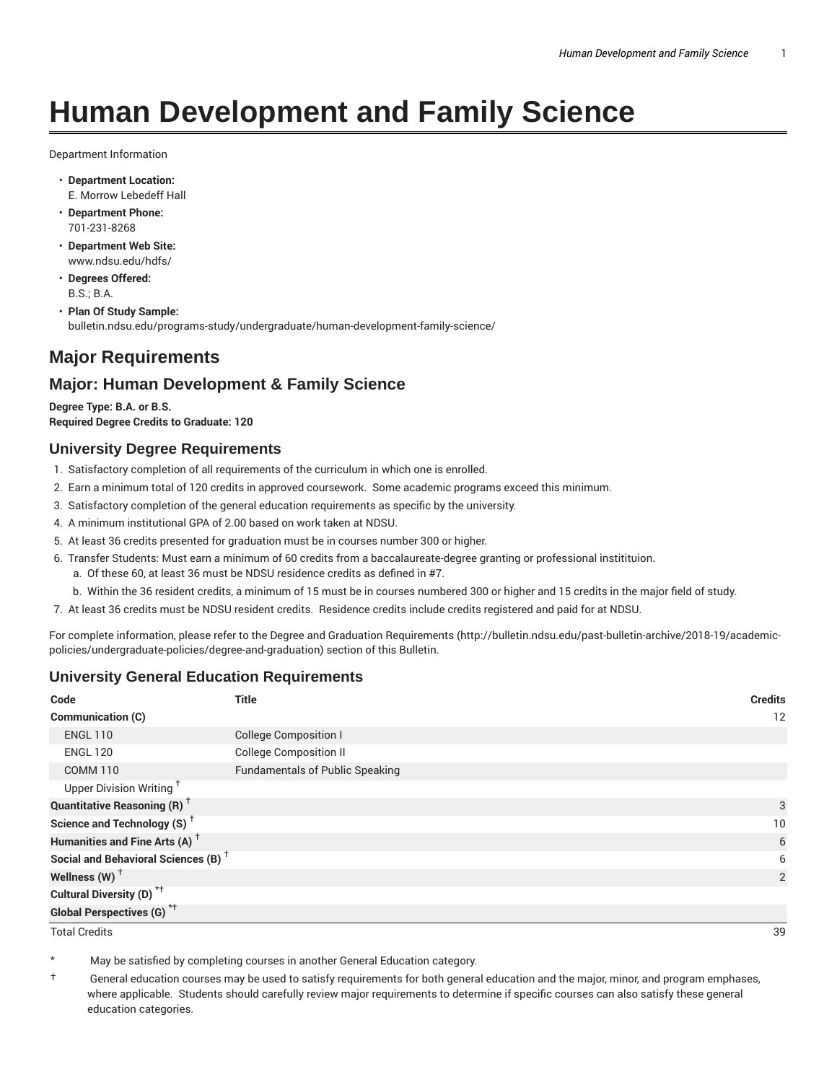# **Human Development and Family Science**

Department Information

- **Department Location:** E. Morrow Lebedeff Hall
- **Department Phone:** 701-231-8268
- **Department Web Site:** www.ndsu.edu/hdfs/
- **Degrees Offered:** B.S.; B.A.
- **Plan Of Study Sample:** bulletin.ndsu.edu/programs-study/undergraduate/human-development-family-science/

# **Major Requirements**

## **Major: Human Development & Family Science**

**Degree Type: B.A. or B.S. Required Degree Credits to Graduate: 120**

#### **University Degree Requirements**

- 1. Satisfactory completion of all requirements of the curriculum in which one is enrolled.
- 2. Earn a minimum total of 120 credits in approved coursework. Some academic programs exceed this minimum.
- 3. Satisfactory completion of the general education requirements as specific by the university.
- 4. A minimum institutional GPA of 2.00 based on work taken at NDSU.
- 5. At least 36 credits presented for graduation must be in courses number 300 or higher.
- 6. Transfer Students: Must earn a minimum of 60 credits from a baccalaureate-degree granting or professional institituion.
	- a. Of these 60, at least 36 must be NDSU residence credits as defined in #7.
	- b. Within the 36 resident credits, a minimum of 15 must be in courses numbered 300 or higher and 15 credits in the major field of study.
- 7. At least 36 credits must be NDSU resident credits. Residence credits include credits registered and paid for at NDSU.

For complete information, please refer to the Degree and Graduation Requirements (http://bulletin.ndsu.edu/past-bulletin-archive/2018-19/academicpolicies/undergraduate-policies/degree-and-graduation) section of this Bulletin.

## **University General Education Requirements**

| Code                                            | <b>Title</b>                           | <b>Credits</b> |
|-------------------------------------------------|----------------------------------------|----------------|
| Communication (C)                               |                                        | 12             |
| <b>ENGL 110</b>                                 | <b>College Composition I</b>           |                |
| <b>ENGL 120</b>                                 | <b>College Composition II</b>          |                |
| <b>COMM 110</b>                                 | <b>Fundamentals of Public Speaking</b> |                |
| Upper Division Writing <sup>+</sup>             |                                        |                |
| <b>Quantitative Reasoning (R)</b> <sup>†</sup>  |                                        | 3              |
| Science and Technology (S) <sup>+</sup>         |                                        | 10             |
| Humanities and Fine Arts (A) <sup>+</sup>       |                                        | 6              |
| Social and Behavioral Sciences (B) <sup>+</sup> |                                        | 6              |
| Wellness $(W)$ <sup>+</sup>                     |                                        | 2              |
| Cultural Diversity (D) <sup>*†</sup>            |                                        |                |
| <b>Global Perspectives (G)<sup>*†</sup></b>     |                                        |                |

Total Credits 39

May be satisfied by completing courses in another General Education category.

† General education courses may be used to satisfy requirements for both general education and the major, minor, and program emphases, where applicable. Students should carefully review major requirements to determine if specific courses can also satisfy these general education categories.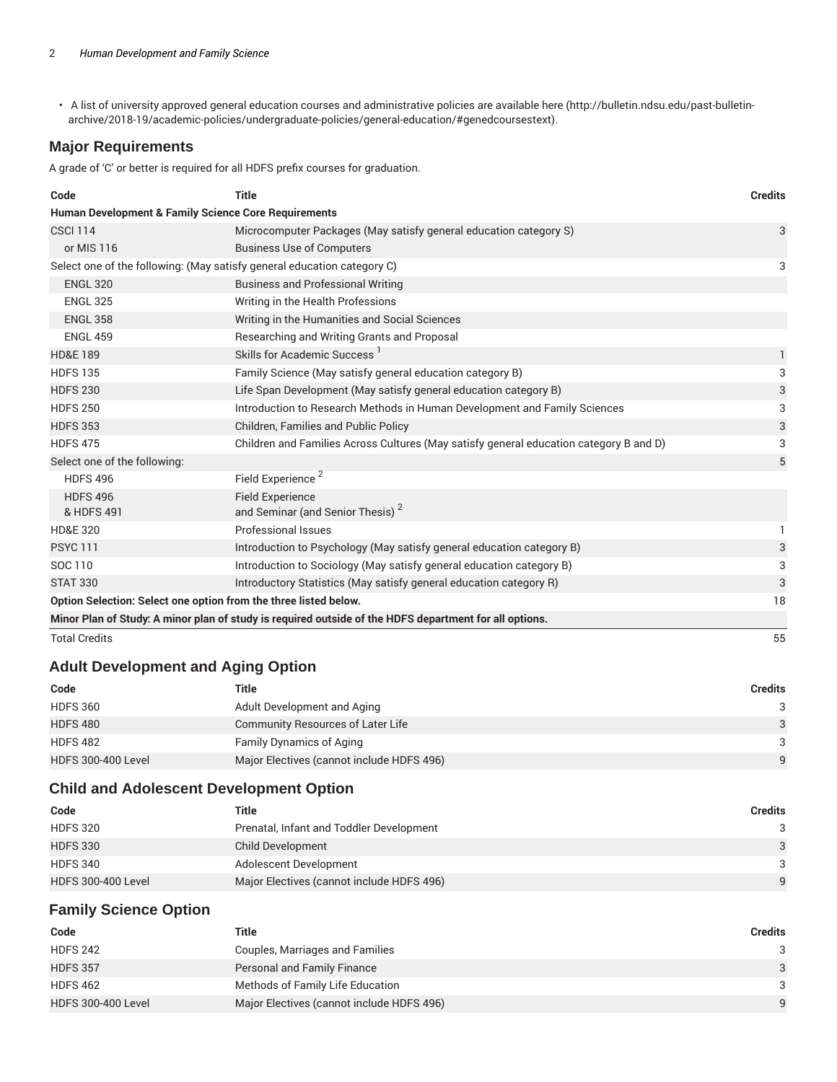• A list of university approved general education courses and administrative policies are available here (http://bulletin.ndsu.edu/past-bulletinarchive/2018-19/academic-policies/undergraduate-policies/general-education/#genedcoursestext).

## **Major Requirements**

A grade of 'C' or better is required for all HDFS prefix courses for graduation.

| Code                         | <b>Title</b>                                                                                           | <b>Credits</b> |
|------------------------------|--------------------------------------------------------------------------------------------------------|----------------|
|                              | Human Development & Family Science Core Requirements                                                   |                |
| <b>CSCI 114</b>              | Microcomputer Packages (May satisfy general education category S)                                      | 3              |
| or MIS 116                   | <b>Business Use of Computers</b>                                                                       |                |
|                              | Select one of the following: (May satisfy general education category C)                                | 3              |
| <b>ENGL 320</b>              | <b>Business and Professional Writing</b>                                                               |                |
| <b>ENGL 325</b>              | Writing in the Health Professions                                                                      |                |
| <b>ENGL 358</b>              | Writing in the Humanities and Social Sciences                                                          |                |
| <b>ENGL 459</b>              | Researching and Writing Grants and Proposal                                                            |                |
| <b>HD&amp;E 189</b>          | Skills for Academic Success                                                                            | 1              |
| <b>HDFS 135</b>              | Family Science (May satisfy general education category B)                                              | 3              |
| <b>HDFS 230</b>              | Life Span Development (May satisfy general education category B)                                       | 3              |
| <b>HDFS 250</b>              | Introduction to Research Methods in Human Development and Family Sciences                              | 3              |
| <b>HDFS 353</b>              | Children, Families and Public Policy                                                                   | 3              |
| <b>HDFS 475</b>              | Children and Families Across Cultures (May satisfy general education category B and D)                 | 3              |
| Select one of the following: |                                                                                                        | 5              |
| <b>HDFS 496</b>              | Field Experience <sup>2</sup>                                                                          |                |
| <b>HDFS 496</b>              | <b>Field Experience</b>                                                                                |                |
| & HDFS 491                   | and Seminar (and Senior Thesis) <sup>2</sup>                                                           |                |
| <b>HD&amp;E 320</b>          | Professional Issues                                                                                    | 1              |
| <b>PSYC 111</b>              | Introduction to Psychology (May satisfy general education category B)                                  | 3              |
| SOC 110                      | Introduction to Sociology (May satisfy general education category B)                                   | 3              |
| <b>STAT 330</b>              | Introductory Statistics (May satisfy general education category R)                                     | 3              |
|                              | Option Selection: Select one option from the three listed below.                                       | 18             |
|                              | Minor Plan of Study: A minor plan of study is required outside of the HDFS department for all options. |                |
| <b>Total Credits</b>         |                                                                                                        | 55             |

#### **Adult Development and Aging Option**

| Code                      | Title                                     | Credits       |
|---------------------------|-------------------------------------------|---------------|
| <b>HDFS 360</b>           | Adult Development and Aging               |               |
| <b>HDFS 480</b>           | Community Resources of Later Life         | $\mathcal{A}$ |
| <b>HDFS 482</b>           | <b>Family Dynamics of Aging</b>           | 3             |
| <b>HDFS 300-400 Level</b> | Major Electives (cannot include HDFS 496) | $\mathbf{Q}$  |

## **Child and Adolescent Development Option**

| Code                      | Title                                     | <b>Credits</b> |
|---------------------------|-------------------------------------------|----------------|
| <b>HDFS 320</b>           | Prenatal, Infant and Toddler Development  | 3              |
| <b>HDFS 330</b>           | Child Development                         | 3              |
| <b>HDFS 340</b>           | Adolescent Development                    | 3              |
| <b>HDFS 300-400 Level</b> | Major Electives (cannot include HDFS 496) | 9              |

## **Family Science Option**

| Code                      | Title                                     | Credits       |
|---------------------------|-------------------------------------------|---------------|
| <b>HDFS 242</b>           | Couples, Marriages and Families           | $\mathcal{B}$ |
| <b>HDFS 357</b>           | <b>Personal and Family Finance</b>        | $\mathcal{A}$ |
| <b>HDFS 462</b>           | Methods of Family Life Education          | $\mathcal{B}$ |
| <b>HDFS 300-400 Level</b> | Major Electives (cannot include HDFS 496) | $\Omega$      |